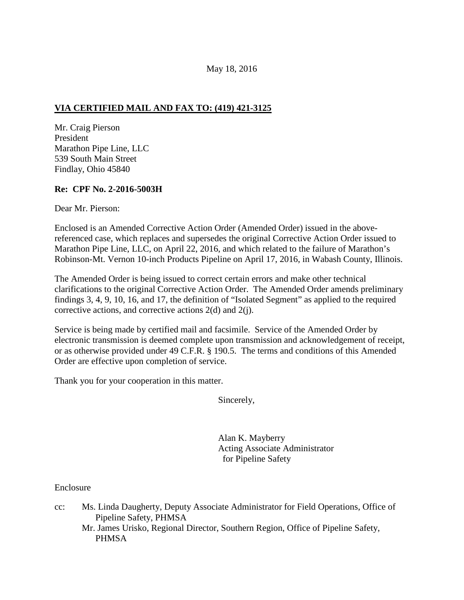May 18, 2016

# **VIA CERTIFIED MAIL AND FAX TO: (419) 421-3125**

Mr. Craig Pierson President Marathon Pipe Line, LLC 539 South Main Street Findlay, Ohio 45840

## **Re: CPF No. 2-2016-5003H**

Dear Mr. Pierson:

Enclosed is an Amended Corrective Action Order (Amended Order) issued in the abovereferenced case, which replaces and supersedes the original Corrective Action Order issued to Marathon Pipe Line, LLC, on April 22, 2016, and which related to the failure of Marathon's Robinson-Mt. Vernon 10-inch Products Pipeline on April 17, 2016, in Wabash County, Illinois.

The Amended Order is being issued to correct certain errors and make other technical clarifications to the original Corrective Action Order. The Amended Order amends preliminary findings 3, 4, 9, 10, 16, and 17, the definition of "Isolated Segment" as applied to the required corrective actions, and corrective actions 2(d) and 2(j).

Service is being made by certified mail and facsimile. Service of the Amended Order by electronic transmission is deemed complete upon transmission and acknowledgement of receipt, or as otherwise provided under 49 C.F.R. § 190.5. The terms and conditions of this Amended Order are effective upon completion of service.

Thank you for your cooperation in this matter.

Sincerely,

Alan K. Mayberry Acting Associate Administrator for Pipeline Safety

Enclosure

- cc: Ms. Linda Daugherty, Deputy Associate Administrator for Field Operations, Office of Pipeline Safety, PHMSA
	- Mr. James Urisko, Regional Director, Southern Region, Office of Pipeline Safety, PHMSA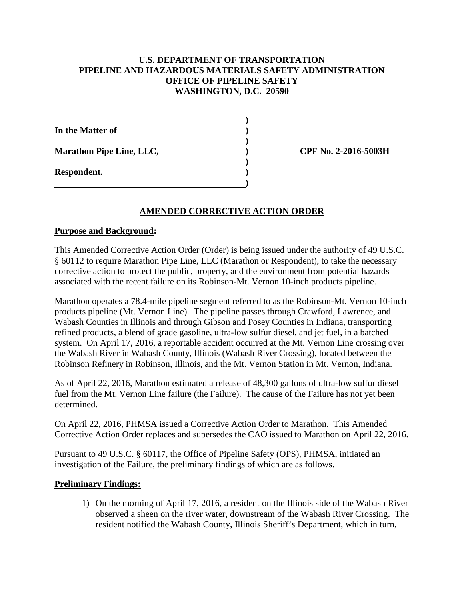## **U.S. DEPARTMENT OF TRANSPORTATION PIPELINE AND HAZARDOUS MATERIALS SAFETY ADMINISTRATION OFFICE OF PIPELINE SAFETY WASHINGTON, D.C. 20590**

| In the Matter of                |  |
|---------------------------------|--|
| <b>Marathon Pipe Line, LLC,</b> |  |
| Respondent.                     |  |

**Marathon Pipe Line, LLC, ) CPF No. 2-2016-5003H**

#### **AMENDED CORRECTIVE ACTION ORDER**

#### **Purpose and Background:**

This Amended Corrective Action Order (Order) is being issued under the authority of 49 U.S.C. § 60112 to require Marathon Pipe Line, LLC (Marathon or Respondent), to take the necessary corrective action to protect the public, property, and the environment from potential hazards associated with the recent failure on its Robinson-Mt. Vernon 10-inch products pipeline.

Marathon operates a 78.4-mile pipeline segment referred to as the Robinson-Mt. Vernon 10-inch products pipeline (Mt. Vernon Line). The pipeline passes through Crawford, Lawrence, and Wabash Counties in Illinois and through Gibson and Posey Counties in Indiana, transporting refined products, a blend of grade gasoline, ultra-low sulfur diesel, and jet fuel, in a batched system. On April 17, 2016, a reportable accident occurred at the Mt. Vernon Line crossing over the Wabash River in Wabash County, Illinois (Wabash River Crossing), located between the Robinson Refinery in Robinson, Illinois, and the Mt. Vernon Station in Mt. Vernon, Indiana.

As of April 22, 2016, Marathon estimated a release of 48,300 gallons of ultra-low sulfur diesel fuel from the Mt. Vernon Line failure (the Failure). The cause of the Failure has not yet been determined.

On April 22, 2016, PHMSA issued a Corrective Action Order to Marathon. This Amended Corrective Action Order replaces and supersedes the CAO issued to Marathon on April 22, 2016.

Pursuant to 49 U.S.C. § 60117, the Office of Pipeline Safety (OPS), PHMSA, initiated an investigation of the Failure, the preliminary findings of which are as follows.

#### **Preliminary Findings:**

1) On the morning of April 17, 2016, a resident on the Illinois side of the Wabash River observed a sheen on the river water, downstream of the Wabash River Crossing. The resident notified the Wabash County, Illinois Sheriff's Department, which in turn,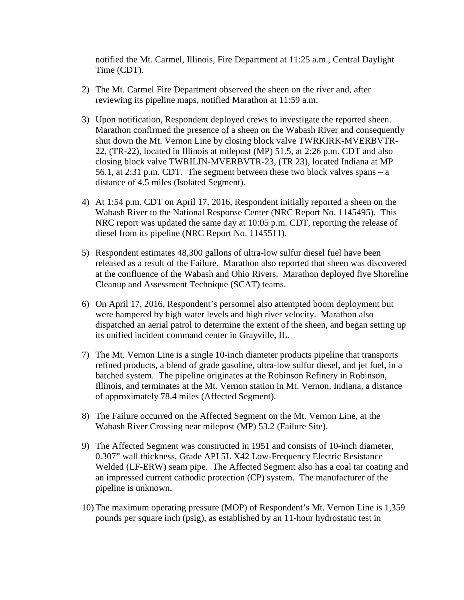notified the Mt. Carmel, Illinois, Fire Department at 11:25 a.m., Central Daylight Time (CDT).

- 2) The Mt. Carmel Fire Department observed the sheen on the river and, after reviewing its pipeline maps, notified Marathon at 11:59 a.m.
- 3) Upon notification, Respondent deployed crews to investigate the reported sheen. Marathon confirmed the presence of a sheen on the Wabash River and consequently shut down the Mt. Vernon Line by closing block valve TWRKIRK-MVERBVTR-22, (TR-22), located in Illinois at milepost (MP) 51.5, at 2:26 p.m. CDT and also closing block valve TWRILIN-MVERBVTR-23, (TR 23), located Indiana at MP 56.1, at 2:31 p.m. CDT. The segment between these two block valves spans – a distance of 4.5 miles (Isolated Segment).
- 4) At 1:54 p.m. CDT on April 17, 2016, Respondent initially reported a sheen on the Wabash River to the National Response Center (NRC Report No. 1145495). This NRC report was updated the same day at 10:05 p.m. CDT, reporting the release of diesel from its pipeline (NRC Report No. 1145511).
- 5) Respondent estimates 48,300 gallons of ultra-low sulfur diesel fuel have been released as a result of the Failure. Marathon also reported that sheen was discovered at the confluence of the Wabash and Ohio Rivers. Marathon deployed five Shoreline Cleanup and Assessment Technique (SCAT) teams.
- 6) On April 17, 2016, Respondent's personnel also attempted boom deployment but were hampered by high water levels and high river velocity. Marathon also dispatched an aerial patrol to determine the extent of the sheen, and began setting up its unified incident command center in Grayville, IL.
- 7) The Mt. Vernon Line is a single 10-inch diameter products pipeline that transports refined products, a blend of grade gasoline, ultra-low sulfur diesel, and jet fuel, in a batched system. The pipeline originates at the Robinson Refinery in Robinson, Illinois, and terminates at the Mt. Vernon station in Mt. Vernon, Indiana, a distance of approximately 78.4 miles (Affected Segment).
- 8) The Failure occurred on the Affected Segment on the Mt. Vernon Line, at the Wabash River Crossing near milepost (MP) 53.2 (Failure Site).
- 9) The Affected Segment was constructed in 1951 and consists of 10-inch diameter, 0.307" wall thickness, Grade API 5L X42 Low-Frequency Electric Resistance Welded (LF-ERW) seam pipe. The Affected Segment also has a coal tar coating and an impressed current cathodic protection (CP) system. The manufacturer of the pipeline is unknown.
- 10) The maximum operating pressure (MOP) of Respondent's Mt. Vernon Line is 1,359 pounds per square inch (psig), as established by an 11-hour hydrostatic test in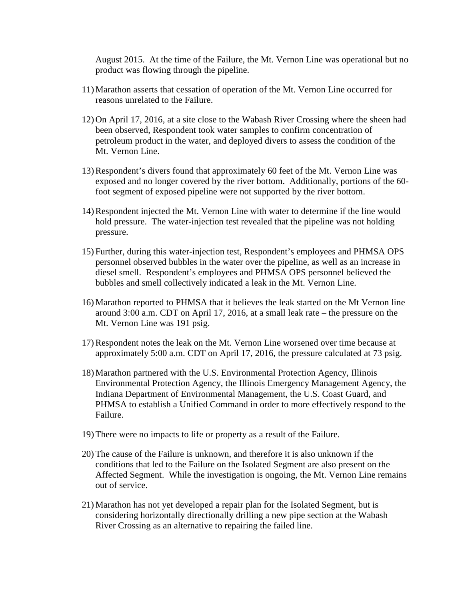August 2015. At the time of the Failure, the Mt. Vernon Line was operational but no product was flowing through the pipeline.

- 11) Marathon asserts that cessation of operation of the Mt. Vernon Line occurred for reasons unrelated to the Failure.
- 12) On April 17, 2016, at a site close to the Wabash River Crossing where the sheen had been observed, Respondent took water samples to confirm concentration of petroleum product in the water, and deployed divers to assess the condition of the Mt. Vernon Line.
- 13)Respondent's divers found that approximately 60 feet of the Mt. Vernon Line was exposed and no longer covered by the river bottom. Additionally, portions of the 60 foot segment of exposed pipeline were not supported by the river bottom.
- 14)Respondent injected the Mt. Vernon Line with water to determine if the line would hold pressure. The water-injection test revealed that the pipeline was not holding pressure.
- 15) Further, during this water-injection test, Respondent's employees and PHMSA OPS personnel observed bubbles in the water over the pipeline, as well as an increase in diesel smell. Respondent's employees and PHMSA OPS personnel believed the bubbles and smell collectively indicated a leak in the Mt. Vernon Line.
- 16) Marathon reported to PHMSA that it believes the leak started on the Mt Vernon line around 3:00 a.m. CDT on April 17, 2016, at a small leak rate – the pressure on the Mt. Vernon Line was 191 psig.
- 17)Respondent notes the leak on the Mt. Vernon Line worsened over time because at approximately 5:00 a.m. CDT on April 17, 2016, the pressure calculated at 73 psig.
- 18) Marathon partnered with the U.S. Environmental Protection Agency, Illinois Environmental Protection Agency, the Illinois Emergency Management Agency, the Indiana Department of Environmental Management, the U.S. Coast Guard, and PHMSA to establish a Unified Command in order to more effectively respond to the Failure.
- 19) There were no impacts to life or property as a result of the Failure.
- 20) The cause of the Failure is unknown, and therefore it is also unknown if the conditions that led to the Failure on the Isolated Segment are also present on the Affected Segment. While the investigation is ongoing, the Mt. Vernon Line remains out of service.
- 21) Marathon has not yet developed a repair plan for the Isolated Segment, but is considering horizontally directionally drilling a new pipe section at the Wabash River Crossing as an alternative to repairing the failed line.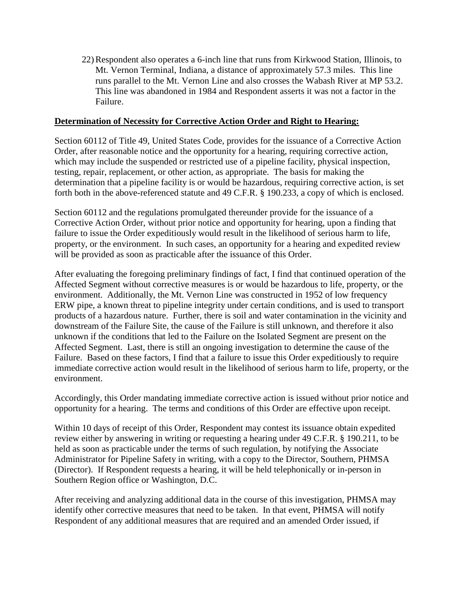22)Respondent also operates a 6-inch line that runs from Kirkwood Station, Illinois, to Mt. Vernon Terminal, Indiana, a distance of approximately 57.3 miles. This line runs parallel to the Mt. Vernon Line and also crosses the Wabash River at MP 53.2. This line was abandoned in 1984 and Respondent asserts it was not a factor in the Failure.

### **Determination of Necessity for Corrective Action Order and Right to Hearing:**

Section 60112 of Title 49, United States Code, provides for the issuance of a Corrective Action Order, after reasonable notice and the opportunity for a hearing, requiring corrective action, which may include the suspended or restricted use of a pipeline facility, physical inspection, testing, repair, replacement, or other action, as appropriate. The basis for making the determination that a pipeline facility is or would be hazardous, requiring corrective action, is set forth both in the above-referenced statute and 49 C.F.R. § 190.233, a copy of which is enclosed.

Section 60112 and the regulations promulgated thereunder provide for the issuance of a Corrective Action Order, without prior notice and opportunity for hearing, upon a finding that failure to issue the Order expeditiously would result in the likelihood of serious harm to life, property, or the environment. In such cases, an opportunity for a hearing and expedited review will be provided as soon as practicable after the issuance of this Order.

After evaluating the foregoing preliminary findings of fact, I find that continued operation of the Affected Segment without corrective measures is or would be hazardous to life, property, or the environment. Additionally, the Mt. Vernon Line was constructed in 1952 of low frequency ERW pipe, a known threat to pipeline integrity under certain conditions, and is used to transport products of a hazardous nature. Further, there is soil and water contamination in the vicinity and downstream of the Failure Site, the cause of the Failure is still unknown, and therefore it also unknown if the conditions that led to the Failure on the Isolated Segment are present on the Affected Segment. Last, there is still an ongoing investigation to determine the cause of the Failure. Based on these factors, I find that a failure to issue this Order expeditiously to require immediate corrective action would result in the likelihood of serious harm to life, property, or the environment.

Accordingly, this Order mandating immediate corrective action is issued without prior notice and opportunity for a hearing. The terms and conditions of this Order are effective upon receipt.

Within 10 days of receipt of this Order, Respondent may contest its issuance obtain expedited review either by answering in writing or requesting a hearing under 49 C.F.R. § 190.211, to be held as soon as practicable under the terms of such regulation, by notifying the Associate Administrator for Pipeline Safety in writing, with a copy to the Director, Southern, PHMSA (Director). If Respondent requests a hearing, it will be held telephonically or in-person in Southern Region office or Washington, D.C.

After receiving and analyzing additional data in the course of this investigation, PHMSA may identify other corrective measures that need to be taken. In that event, PHMSA will notify Respondent of any additional measures that are required and an amended Order issued, if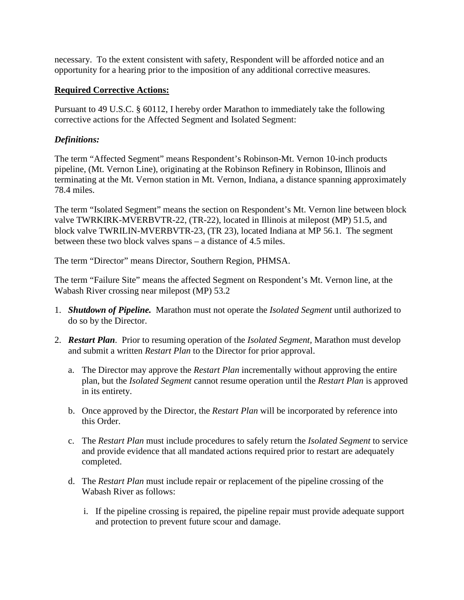necessary. To the extent consistent with safety, Respondent will be afforded notice and an opportunity for a hearing prior to the imposition of any additional corrective measures.

## **Required Corrective Actions:**

Pursuant to 49 U.S.C. § 60112, I hereby order Marathon to immediately take the following corrective actions for the Affected Segment and Isolated Segment:

## *Definitions:*

The term "Affected Segment" means Respondent's Robinson-Mt. Vernon 10-inch products pipeline, (Mt. Vernon Line), originating at the Robinson Refinery in Robinson, Illinois and terminating at the Mt. Vernon station in Mt. Vernon, Indiana, a distance spanning approximately 78.4 miles.

The term "Isolated Segment" means the section on Respondent's Mt. Vernon line between block valve TWRKIRK-MVERBVTR-22, (TR-22), located in Illinois at milepost (MP) 51.5, and block valve TWRILIN-MVERBVTR-23, (TR 23), located Indiana at MP 56.1. The segment between these two block valves spans – a distance of 4.5 miles.

The term "Director" means Director, Southern Region, PHMSA.

The term "Failure Site" means the affected Segment on Respondent's Mt. Vernon line, at the Wabash River crossing near milepost (MP) 53.2

- 1. *Shutdown of Pipeline.* Marathon must not operate the *Isolated Segment* until authorized to do so by the Director.
- 2. *Restart Plan*. Prior to resuming operation of the *Isolated Segment,* Marathon must develop and submit a written *Restart Plan* to the Director for prior approval.
	- a. The Director may approve the *Restart Plan* incrementally without approving the entire plan, but the *Isolated Segment* cannot resume operation until the *Restart Plan* is approved in its entirety.
	- b. Once approved by the Director, the *Restart Plan* will be incorporated by reference into this Order.
	- c. The *Restart Plan* must include procedures to safely return the *Isolated Segment* to service and provide evidence that all mandated actions required prior to restart are adequately completed.
	- d. The *Restart Plan* must include repair or replacement of the pipeline crossing of the Wabash River as follows:
		- i. If the pipeline crossing is repaired, the pipeline repair must provide adequate support and protection to prevent future scour and damage.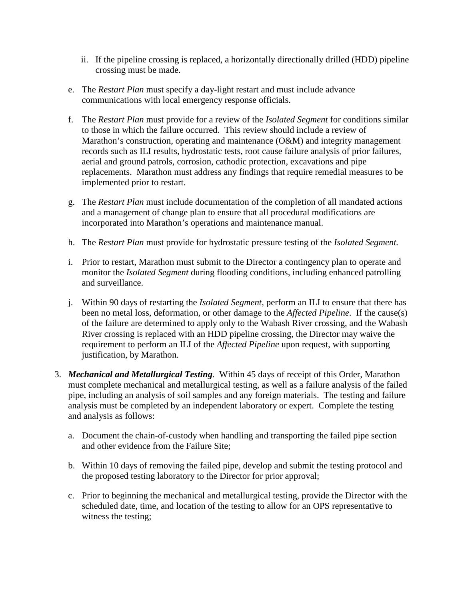- ii. If the pipeline crossing is replaced, a horizontally directionally drilled (HDD) pipeline crossing must be made.
- e. The *Restart Plan* must specify a day-light restart and must include advance communications with local emergency response officials.
- f. The *Restart Plan* must provide for a review of the *Isolated Segment* for conditions similar to those in which the failure occurred. This review should include a review of Marathon's construction, operating and maintenance (O&M) and integrity management records such as ILI results, hydrostatic tests, root cause failure analysis of prior failures, aerial and ground patrols, corrosion, cathodic protection, excavations and pipe replacements. Marathon must address any findings that require remedial measures to be implemented prior to restart.
- g. The *Restart Plan* must include documentation of the completion of all mandated actions and a management of change plan to ensure that all procedural modifications are incorporated into Marathon's operations and maintenance manual.
- h. The *Restart Plan* must provide for hydrostatic pressure testing of the *Isolated Segment.*
- i. Prior to restart, Marathon must submit to the Director a contingency plan to operate and monitor the *Isolated Segment* during flooding conditions, including enhanced patrolling and surveillance.
- j. Within 90 days of restarting the *Isolated Segment*, perform an ILI to ensure that there has been no metal loss, deformation, or other damage to the *Affected Pipeline*. If the cause(s) of the failure are determined to apply only to the Wabash River crossing, and the Wabash River crossing is replaced with an HDD pipeline crossing, the Director may waive the requirement to perform an ILI of the *Affected Pipeline* upon request, with supporting justification, by Marathon.
- 3. *Mechanical and Metallurgical Testing*. Within 45 days of receipt of this Order, Marathon must complete mechanical and metallurgical testing, as well as a failure analysis of the failed pipe, including an analysis of soil samples and any foreign materials. The testing and failure analysis must be completed by an independent laboratory or expert. Complete the testing and analysis as follows:
	- a. Document the chain-of-custody when handling and transporting the failed pipe section and other evidence from the Failure Site;
	- b. Within 10 days of removing the failed pipe, develop and submit the testing protocol and the proposed testing laboratory to the Director for prior approval;
	- c. Prior to beginning the mechanical and metallurgical testing, provide the Director with the scheduled date, time, and location of the testing to allow for an OPS representative to witness the testing;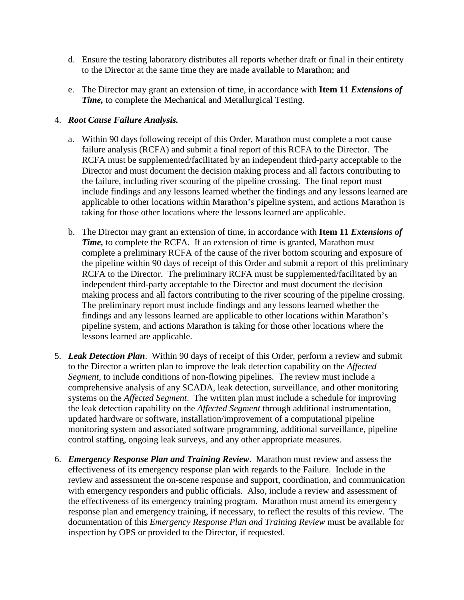- d. Ensure the testing laboratory distributes all reports whether draft or final in their entirety to the Director at the same time they are made available to Marathon; and
- e. The Director may grant an extension of time, in accordance with **Item 11** *Extensions of Time,* to complete the Mechanical and Metallurgical Testing.

## 4. *Root Cause Failure Analysis.*

- a. Within 90 days following receipt of this Order, Marathon must complete a root cause failure analysis (RCFA) and submit a final report of this RCFA to the Director. The RCFA must be supplemented/facilitated by an independent third-party acceptable to the Director and must document the decision making process and all factors contributing to the failure, including river scouring of the pipeline crossing. The final report must include findings and any lessons learned whether the findings and any lessons learned are applicable to other locations within Marathon's pipeline system, and actions Marathon is taking for those other locations where the lessons learned are applicable.
- b. The Director may grant an extension of time, in accordance with **Item 11** *Extensions of Time*, to complete the RCFA. If an extension of time is granted, Marathon must complete a preliminary RCFA of the cause of the river bottom scouring and exposure of the pipeline within 90 days of receipt of this Order and submit a report of this preliminary RCFA to the Director. The preliminary RCFA must be supplemented/facilitated by an independent third-party acceptable to the Director and must document the decision making process and all factors contributing to the river scouring of the pipeline crossing. The preliminary report must include findings and any lessons learned whether the findings and any lessons learned are applicable to other locations within Marathon's pipeline system, and actions Marathon is taking for those other locations where the lessons learned are applicable.
- 5. *Leak Detection Plan*. Within 90 days of receipt of this Order, perform a review and submit to the Director a written plan to improve the leak detection capability on the *Affected Segment,* to include conditions of non-flowing pipelines*.* The review must include a comprehensive analysis of any SCADA, leak detection, surveillance, and other monitoring systems on the *Affected Segment*. The written plan must include a schedule for improving the leak detection capability on the *Affected Segment* through additional instrumentation, updated hardware or software, installation/improvement of a computational pipeline monitoring system and associated software programming, additional surveillance, pipeline control staffing, ongoing leak surveys, and any other appropriate measures.
- 6. *Emergency Response Plan and Training Review*. Marathon must review and assess the effectiveness of its emergency response plan with regards to the Failure. Include in the review and assessment the on-scene response and support, coordination, and communication with emergency responders and public officials. Also, include a review and assessment of the effectiveness of its emergency training program. Marathon must amend its emergency response plan and emergency training, if necessary, to reflect the results of this review. The documentation of this *Emergency Response Plan and Training Review* must be available for inspection by OPS or provided to the Director, if requested.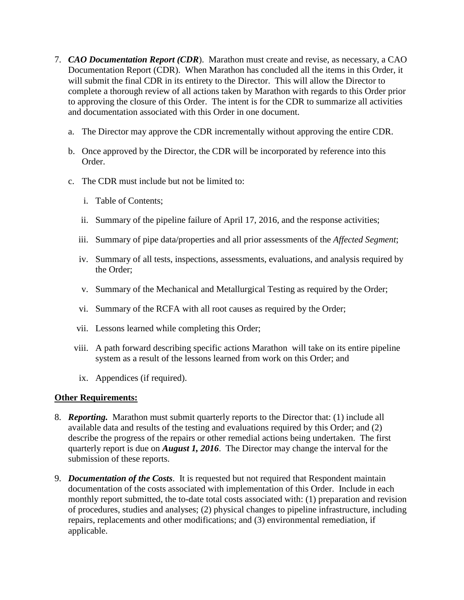- 7. *CAO Documentation Report (CDR*). Marathon must create and revise, as necessary, a CAO Documentation Report (CDR). When Marathon has concluded all the items in this Order, it will submit the final CDR in its entirety to the Director. This will allow the Director to complete a thorough review of all actions taken by Marathon with regards to this Order prior to approving the closure of this Order. The intent is for the CDR to summarize all activities and documentation associated with this Order in one document.
	- a. The Director may approve the CDR incrementally without approving the entire CDR.
	- b. Once approved by the Director, the CDR will be incorporated by reference into this Order.
	- c. The CDR must include but not be limited to:
		- i. Table of Contents;
		- ii. Summary of the pipeline failure of April 17, 2016, and the response activities;
		- iii. Summary of pipe data/properties and all prior assessments of the *Affected Segment*;
		- iv. Summary of all tests, inspections, assessments, evaluations, and analysis required by the Order;
		- v. Summary of the Mechanical and Metallurgical Testing as required by the Order;
		- vi. Summary of the RCFA with all root causes as required by the Order;
		- vii. Lessons learned while completing this Order;
		- viii. A path forward describing specific actions Marathon will take on its entire pipeline system as a result of the lessons learned from work on this Order; and
		- ix. Appendices (if required).

#### **Other Requirements:**

- 8. *Reporting.* Marathon must submit quarterly reports to the Director that: (1) include all available data and results of the testing and evaluations required by this Order; and (2) describe the progress of the repairs or other remedial actions being undertaken. The first quarterly report is due on *August 1, 2016*. The Director may change the interval for the submission of these reports.
- 9. *Documentation of the Costs*. It is requested but not required that Respondent maintain documentation of the costs associated with implementation of this Order. Include in each monthly report submitted, the to-date total costs associated with: (1) preparation and revision of procedures, studies and analyses; (2) physical changes to pipeline infrastructure, including repairs, replacements and other modifications; and (3) environmental remediation, if applicable.